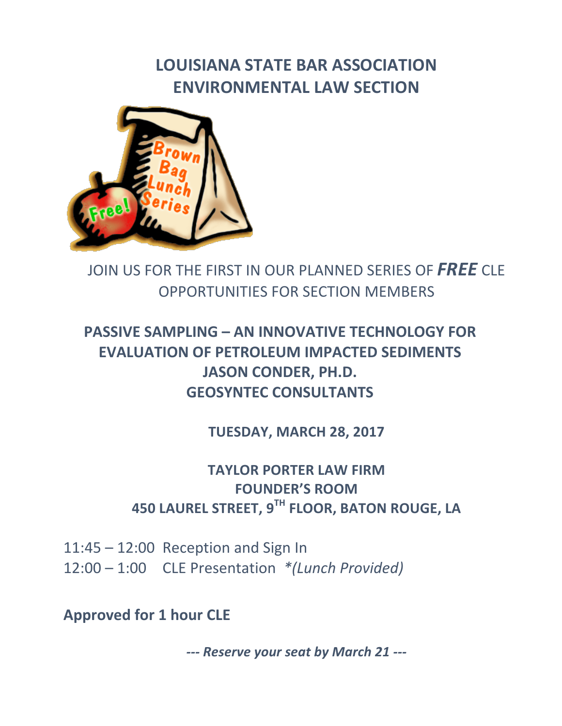# **LOUISIANA STATE BAR ASSOCIATION ENVIRONMENTAL LAW SECTION**



JOIN US FOR THE FIRST IN OUR PLANNED SERIES OF FREE CLE OPPORTUNITIES FOR SECTION MEMBERS

## **PASSIVE SAMPLING – AN INNOVATIVE TECHNOLOGY FOR EVALUATION OF PETROLEUM IMPACTED SEDIMENTS** JASON CONDER, PH.D. **GEOSYNTEC CONSULTANTS**

**TUESDAY, MARCH 28, 2017** 

### **TAYLOR PORTER LAW FIRM FOUNDER'S ROOM 450 LAUREL STREET, 9TH FLOOR, BATON ROUGE, LA**

 $11:45 - 12:00$  Reception and Sign In 12:00 – 1:00 CLE Presentation \*(Lunch Provided)

**Approved for 1 hour CLE** 

--- **Reserve your seat by March 21 ---**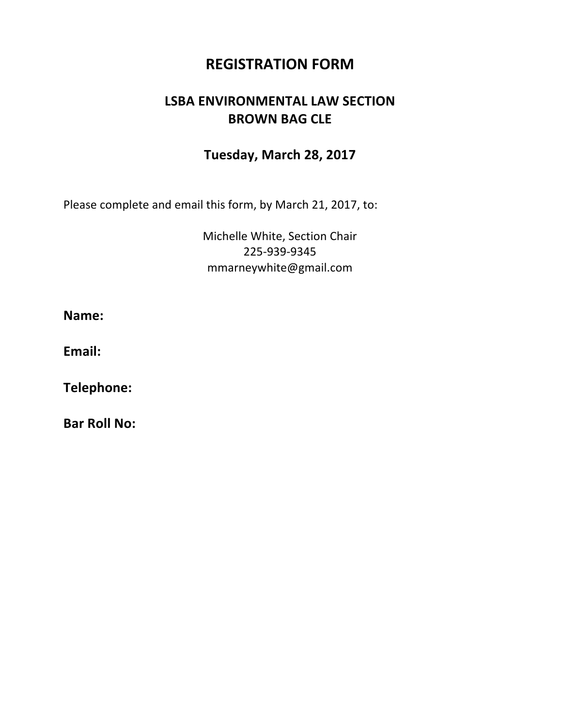### **REGISTRATION FORM**

### **LSBA ENVIRONMENTAL LAW SECTION BROWN BAG CLE**

#### **Tuesday, March 28, 2017**

Please complete and email this form, by March 21, 2017, to:

Michelle White, Section Chair 225-939-9345 mmarneywhite@gmail.com

**Name:**

Email:

**Telephone:**

**Bar Roll No:**